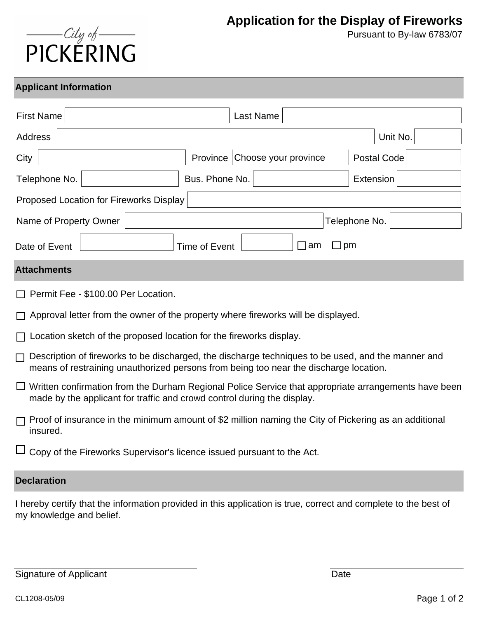## $\frac{City \phi}{\text{PICKERING}}$

Pursuant to By-law 6783/07

## **Applicant Information**

| <b>First Name</b>                                                                                                                                                                                | Last Name                     |                    |  |
|--------------------------------------------------------------------------------------------------------------------------------------------------------------------------------------------------|-------------------------------|--------------------|--|
| Address                                                                                                                                                                                          |                               | Unit No.           |  |
| City                                                                                                                                                                                             | Province Choose your province | <b>Postal Code</b> |  |
| Bus. Phone No.<br>Telephone No.                                                                                                                                                                  |                               | <b>Extension</b>   |  |
| Proposed Location for Fireworks Display                                                                                                                                                          |                               |                    |  |
| Name of Property Owner                                                                                                                                                                           |                               | Telephone No.      |  |
| Time of Event<br>$\Box$ am<br>$\square$ pm<br>Date of Event                                                                                                                                      |                               |                    |  |
| <b>Attachments</b>                                                                                                                                                                               |                               |                    |  |
| Permit Fee - \$100.00 Per Location.                                                                                                                                                              |                               |                    |  |
| Approval letter from the owner of the property where fireworks will be displayed.                                                                                                                |                               |                    |  |
| Location sketch of the proposed location for the fireworks display.                                                                                                                              |                               |                    |  |
| Description of fireworks to be discharged, the discharge techniques to be used, and the manner and<br>П<br>means of restraining unauthorized persons from being too near the discharge location. |                               |                    |  |
| $\Box$ Written confirmation from the Durham Regional Police Service that appropriate arrangements have been<br>made by the applicant for traffic and crowd control during the display.           |                               |                    |  |
| Proof of insurance in the minimum amount of \$2 million naming the City of Pickering as an additional<br>insured.                                                                                |                               |                    |  |

Copy of the Fireworks Supervisor's licence issued pursuant to the Act.

## **Declaration**

I hereby certify that the information provided in this application is true, correct and complete to the best of my knowledge and belief.

Signature of Applicant Date